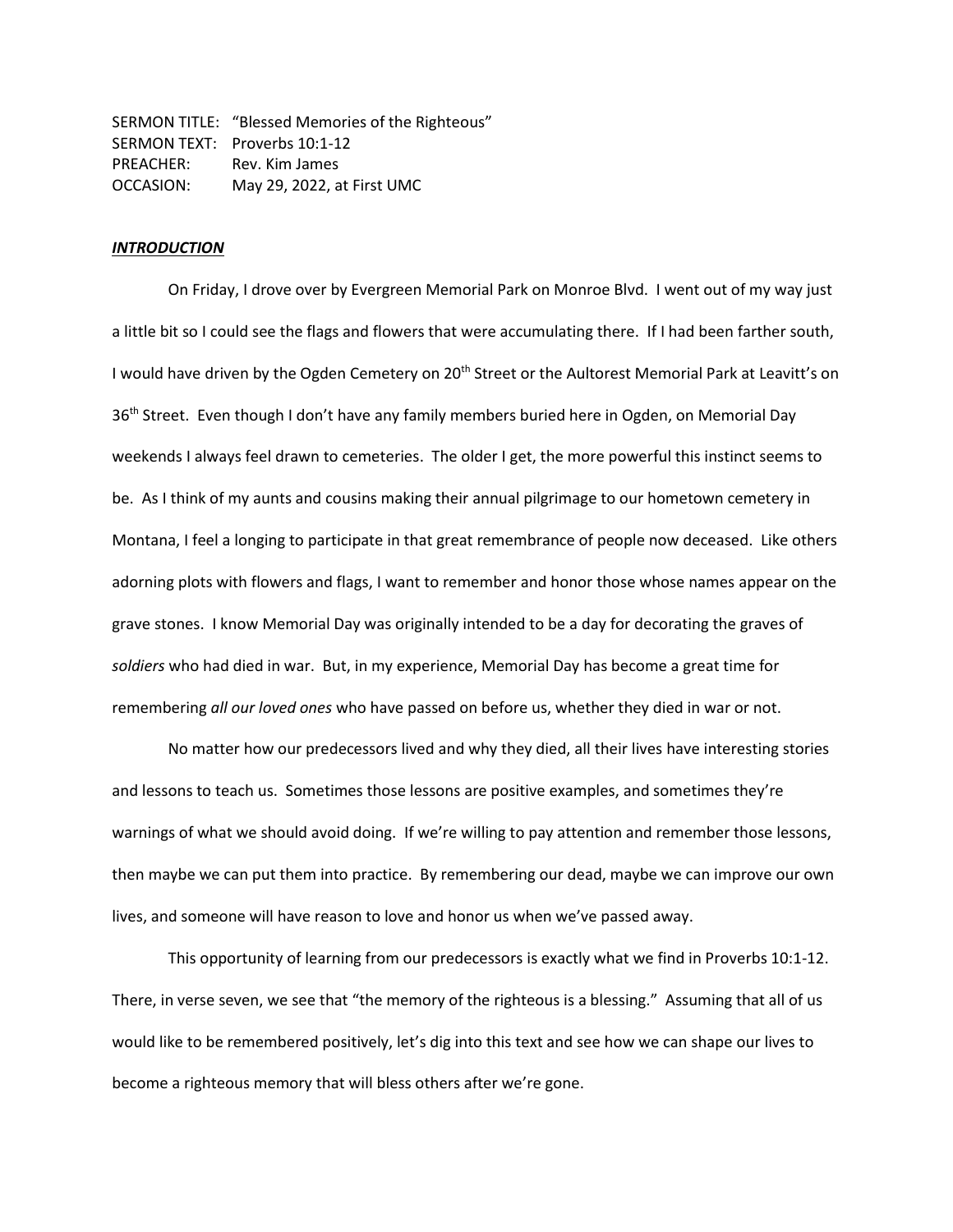SERMON TITLE: "Blessed Memories of the Righteous" SERMON TEXT: Proverbs 10:1-12 PREACHER: Rev. Kim James OCCASION: May 29, 2022, at First UMC

# *INTRODUCTION*

On Friday, I drove over by Evergreen Memorial Park on Monroe Blvd. I went out of my way just a little bit so I could see the flags and flowers that were accumulating there. If I had been farther south, I would have driven by the Ogden Cemetery on 20<sup>th</sup> Street or the Aultorest Memorial Park at Leavitt's on 36<sup>th</sup> Street. Even though I don't have any family members buried here in Ogden, on Memorial Day weekends I always feel drawn to cemeteries. The older I get, the more powerful this instinct seems to be. As I think of my aunts and cousins making their annual pilgrimage to our hometown cemetery in Montana, I feel a longing to participate in that great remembrance of people now deceased. Like others adorning plots with flowers and flags, I want to remember and honor those whose names appear on the grave stones. I know Memorial Day was originally intended to be a day for decorating the graves of *soldiers* who had died in war. But, in my experience, Memorial Day has become a great time for remembering *all our loved ones* who have passed on before us, whether they died in war or not.

No matter how our predecessors lived and why they died, all their lives have interesting stories and lessons to teach us. Sometimes those lessons are positive examples, and sometimes they're warnings of what we should avoid doing. If we're willing to pay attention and remember those lessons, then maybe we can put them into practice. By remembering our dead, maybe we can improve our own lives, and someone will have reason to love and honor us when we've passed away.

This opportunity of learning from our predecessors is exactly what we find in Proverbs 10:1-12. There, in verse seven, we see that "the memory of the righteous is a blessing." Assuming that all of us would like to be remembered positively, let's dig into this text and see how we can shape our lives to become a righteous memory that will bless others after we're gone.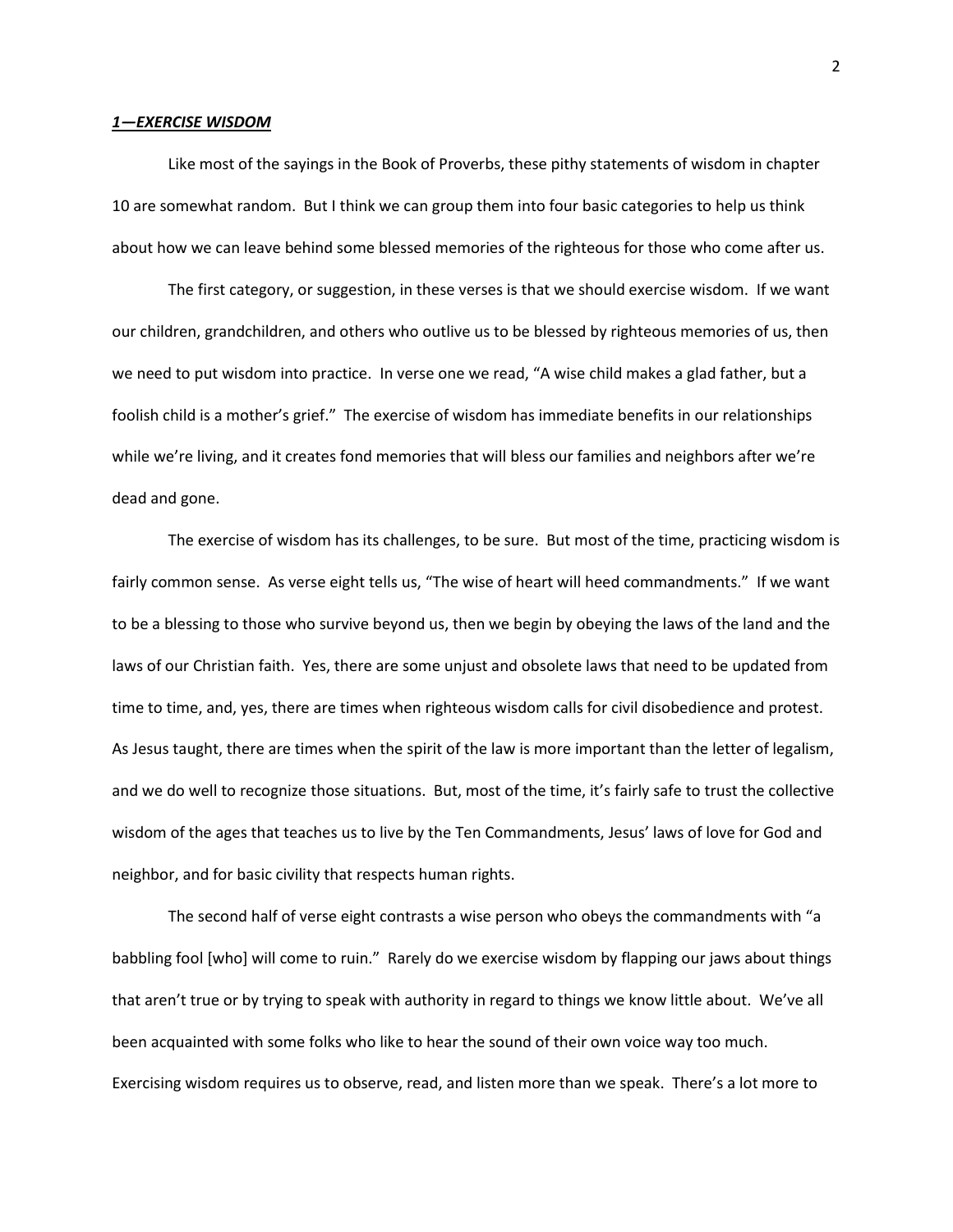## *1—EXERCISE WISDOM*

Like most of the sayings in the Book of Proverbs, these pithy statements of wisdom in chapter 10 are somewhat random. But I think we can group them into four basic categories to help us think about how we can leave behind some blessed memories of the righteous for those who come after us.

The first category, or suggestion, in these verses is that we should exercise wisdom. If we want our children, grandchildren, and others who outlive us to be blessed by righteous memories of us, then we need to put wisdom into practice. In verse one we read, "A wise child makes a glad father, but a foolish child is a mother's grief." The exercise of wisdom has immediate benefits in our relationships while we're living, and it creates fond memories that will bless our families and neighbors after we're dead and gone.

The exercise of wisdom has its challenges, to be sure. But most of the time, practicing wisdom is fairly common sense. As verse eight tells us, "The wise of heart will heed commandments." If we want to be a blessing to those who survive beyond us, then we begin by obeying the laws of the land and the laws of our Christian faith. Yes, there are some unjust and obsolete laws that need to be updated from time to time, and, yes, there are times when righteous wisdom calls for civil disobedience and protest. As Jesus taught, there are times when the spirit of the law is more important than the letter of legalism, and we do well to recognize those situations. But, most of the time, it's fairly safe to trust the collective wisdom of the ages that teaches us to live by the Ten Commandments, Jesus' laws of love for God and neighbor, and for basic civility that respects human rights.

The second half of verse eight contrasts a wise person who obeys the commandments with "a babbling fool [who] will come to ruin." Rarely do we exercise wisdom by flapping our jaws about things that aren't true or by trying to speak with authority in regard to things we know little about. We've all been acquainted with some folks who like to hear the sound of their own voice way too much. Exercising wisdom requires us to observe, read, and listen more than we speak. There's a lot more to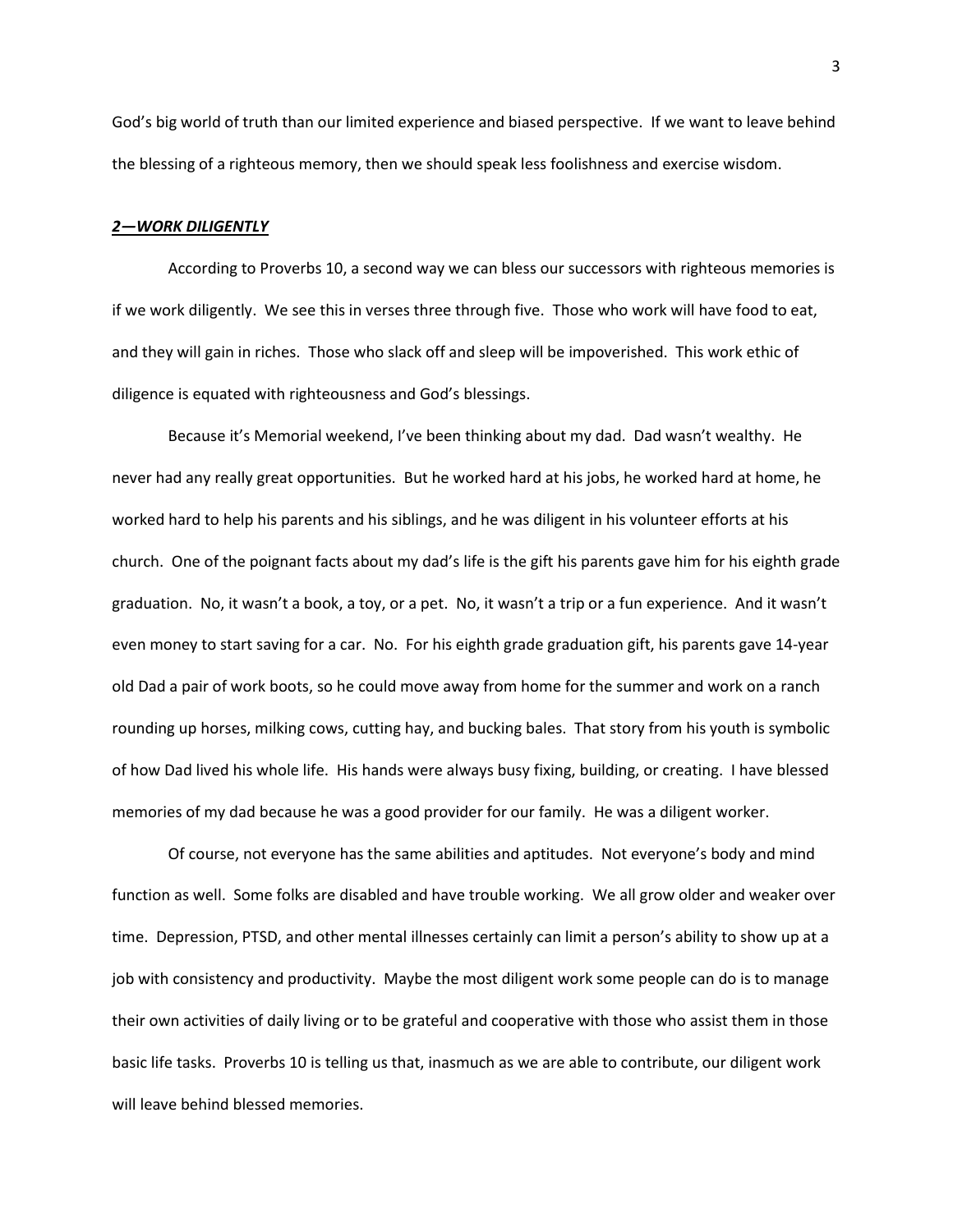God's big world of truth than our limited experience and biased perspective. If we want to leave behind the blessing of a righteous memory, then we should speak less foolishness and exercise wisdom.

## *2—WORK DILIGENTLY*

According to Proverbs 10, a second way we can bless our successors with righteous memories is if we work diligently. We see this in verses three through five. Those who work will have food to eat, and they will gain in riches. Those who slack off and sleep will be impoverished. This work ethic of diligence is equated with righteousness and God's blessings.

Because it's Memorial weekend, I've been thinking about my dad. Dad wasn't wealthy. He never had any really great opportunities. But he worked hard at his jobs, he worked hard at home, he worked hard to help his parents and his siblings, and he was diligent in his volunteer efforts at his church. One of the poignant facts about my dad's life is the gift his parents gave him for his eighth grade graduation. No, it wasn't a book, a toy, or a pet. No, it wasn't a trip or a fun experience. And it wasn't even money to start saving for a car. No. For his eighth grade graduation gift, his parents gave 14-year old Dad a pair of work boots, so he could move away from home for the summer and work on a ranch rounding up horses, milking cows, cutting hay, and bucking bales. That story from his youth is symbolic of how Dad lived his whole life. His hands were always busy fixing, building, or creating. I have blessed memories of my dad because he was a good provider for our family. He was a diligent worker.

Of course, not everyone has the same abilities and aptitudes. Not everyone's body and mind function as well. Some folks are disabled and have trouble working. We all grow older and weaker over time. Depression, PTSD, and other mental illnesses certainly can limit a person's ability to show up at a job with consistency and productivity. Maybe the most diligent work some people can do is to manage their own activities of daily living or to be grateful and cooperative with those who assist them in those basic life tasks. Proverbs 10 is telling us that, inasmuch as we are able to contribute, our diligent work will leave behind blessed memories.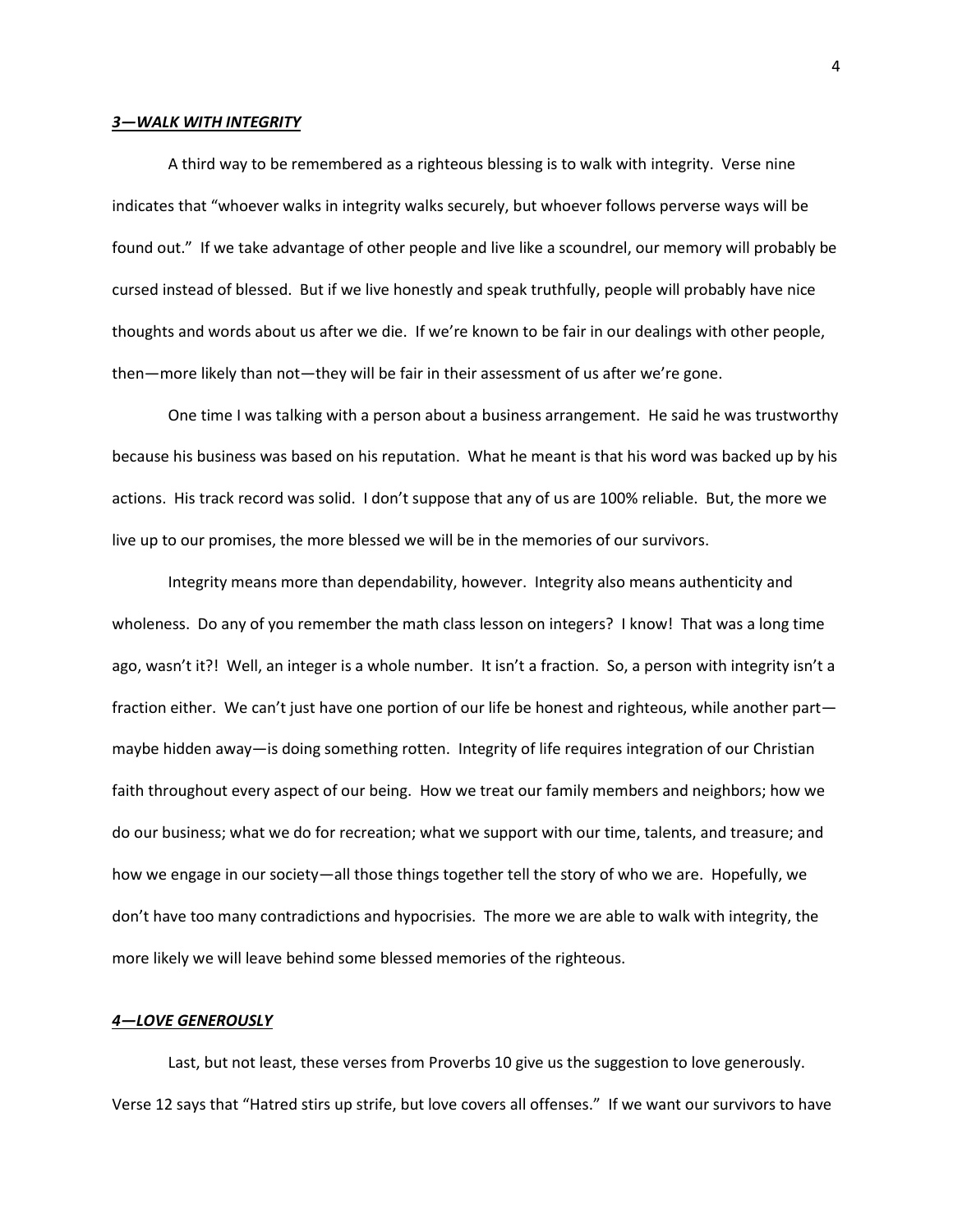### *3—WALK WITH INTEGRITY*

A third way to be remembered as a righteous blessing is to walk with integrity. Verse nine indicates that "whoever walks in integrity walks securely, but whoever follows perverse ways will be found out." If we take advantage of other people and live like a scoundrel, our memory will probably be cursed instead of blessed. But if we live honestly and speak truthfully, people will probably have nice thoughts and words about us after we die. If we're known to be fair in our dealings with other people, then—more likely than not—they will be fair in their assessment of us after we're gone.

One time I was talking with a person about a business arrangement. He said he was trustworthy because his business was based on his reputation. What he meant is that his word was backed up by his actions. His track record was solid. I don't suppose that any of us are 100% reliable. But, the more we live up to our promises, the more blessed we will be in the memories of our survivors.

Integrity means more than dependability, however. Integrity also means authenticity and wholeness. Do any of you remember the math class lesson on integers? I know! That was a long time ago, wasn't it?! Well, an integer is a whole number. It isn't a fraction. So, a person with integrity isn't a fraction either. We can't just have one portion of our life be honest and righteous, while another part maybe hidden away—is doing something rotten. Integrity of life requires integration of our Christian faith throughout every aspect of our being. How we treat our family members and neighbors; how we do our business; what we do for recreation; what we support with our time, talents, and treasure; and how we engage in our society—all those things together tell the story of who we are. Hopefully, we don't have too many contradictions and hypocrisies. The more we are able to walk with integrity, the more likely we will leave behind some blessed memories of the righteous.

## *4—LOVE GENEROUSLY*

Last, but not least, these verses from Proverbs 10 give us the suggestion to love generously. Verse 12 says that "Hatred stirs up strife, but love covers all offenses." If we want our survivors to have